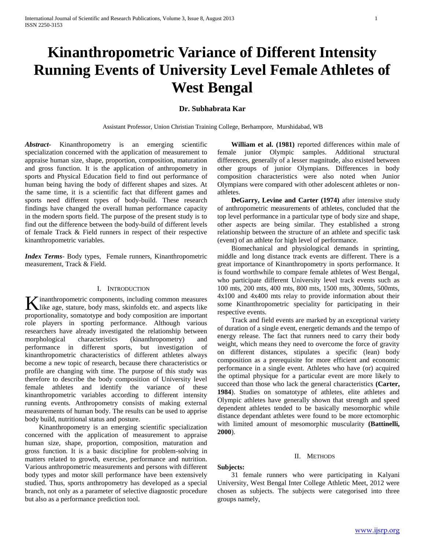# **Kinanthropometric Variance of Different Intensity Running Events of University Level Female Athletes of West Bengal**

# **Dr. Subhabrata Kar**

Assistant Professor, Union Christian Training College, Berhampore, Murshidabad, WB

*Abstract***-** Kinanthropometry is an emerging scientific specialization concerned with the application of measurement to appraise human size, shape, proportion, composition, maturation and gross function. It is the application of anthropometry in sports and Physical Education field to find out performance of human being having the body of different shapes and sizes. At the same time, it is a scientific fact that different games and sports need different types of body-build. These research findings have changed the overall human performance capacity in the modern sports field. The purpose of the present study is to find out the difference between the body-build of different levels of female Track & Field runners in respect of their respective kinanthropometric variables.

*Index Terms*- Body types, Female runners, Kinanthropometric measurement, Track & Field.

## I. INTRODUCTION

inanthropometric components, including common measures K inanthropometric components, including common measures like age, stature, body mass, skinfolds etc. and aspects like proportionality, somatotype and body composition are important role players in sporting performance. Although various researchers have already investigated the relationship between morphological characteristics (kinanthropometry) and performance in different sports, but investigation of kinanthropometric characteristics of different athletes always become a new topic of research, because there characteristics or profile are changing with time. The purpose of this study was therefore to describe the body composition of University level female athletes and identify the variance of these kinanthropometric variables according to different intensity running events. Anthropometry consists of making external measurements of human body. The results can be used to apprise body build, nutritional status and posture.

 Kinanthropometry is an emerging scientific specialization concerned with the application of measurement to appraise human size, shape, proportion, composition, maturation and gross function. It is a basic discipline for problem-solving in matters related to growth, exercise, performance and nutrition. Various anthropometric measurements and persons with different body types and motor skill performance have been extensively studied. Thus, sports anthropometry has developed as a special branch, not only as a parameter of selective diagnostic procedure but also as a performance prediction tool.

 **William et al. (1981)** reported differences within male of female junior Olympic samples. Additional structural differences, generally of a lesser magnitude, also existed between other groups of junior Olympians. Differences in body composition characteristics were also noted when Junior Olympians were compared with other adolescent athletes or nonathletes.

 **DeGarry, Levine and Carter (1974)** after intensive study of anthropometric measurements of athletes, concluded that the top level performance in a particular type of body size and shape, other aspects are being similar. They established a strong relationship between the structure of an athlete and specific task (event) of an athlete for high level of performance.

 Biomechanical and physiological demands in sprinting, middle and long distance track events are different. There is a great importance of Kinanthropometry in sports performance. It is found worthwhile to compare female athletes of West Bengal, who participate different University level track events such as 100 mts, 200 mts, 400 mts, 800 mts, 1500 mts, 300mts, 500mts, 4x100 and 4x400 mts relay to provide information about their some Kinanthropometric speciality for participating in their respective events.

 Track and field events are marked by an exceptional variety of duration of a single event, energetic demands and the tempo of energy release. The fact that runners need to carry their body weight, which means they need to overcome the force of gravity on different distances, stipulates a specific (lean) body composition as a prerequisite for more efficient and economic performance in a single event. Athletes who have (or) acquired the optimal physique for a particular event are more likely to succeed than those who lack the general characteristics **(Carter, 1984**). Studies on somatotype of athletes, elite athletes and Olympic athletes have generally shown that strength and speed dependent athletes tended to be basically mesomorphic while distance dependant athletes were found to be more ectomorphic with limited amount of mesomorphic muscularity **(Battinelli, 2000**).

#### II. METHODS

## **Subjects:**

 31 female runners who were participating in Kalyani University, West Bengal Inter College Athletic Meet, 2012 were chosen as subjects. The subjects were categorised into three groups namely,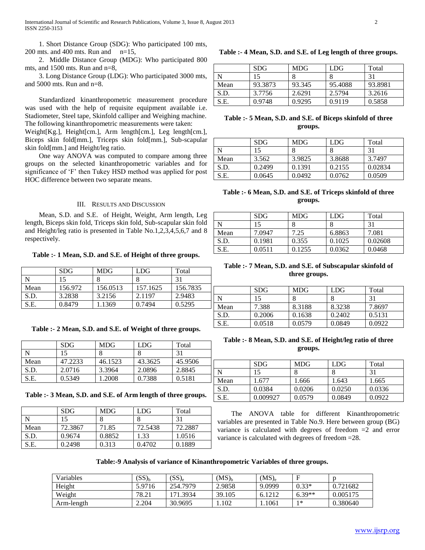1. Short Distance Group (SDG): Who participated 100 mts, 200 mts. and 400 mts. Run and  $n=15$ ,

 2. Middle Distance Group (MDG): Who participated 800 mts, and 1500 mts. Run and n=8,

 3. Long Distance Group (LDG): Who participated 3000 mts, and 5000 mts. Run and n=8.

 Standardized kinanthropometric measurement procedure was used with the help of requisite equipment available i.e. Stadiometer, Steel tape, Skinfold calliper and Weighing machine. The following kinanthropometric measurements were taken:

Weight[Kg.], Height[cm.], Arm length[cm.], Leg length[cm.], Biceps skin fold[mm.], Triceps skin fold[mm.], Sub-scapular skin fold[mm.] and Height/leg ratio.

 One way ANOVA was computed to compare among three groups on the selected kinanthropometric variables and for significance of 'F' then Tukey HSD method was applied for post HOC difference between two separate means.

#### III. RESULTS AND DISCUSSION

 Mean, S.D. and S.E. of Height, Weight, Arm length, Leg length, Biceps skin fold, Triceps skin fold, Sub-scapular skin fold and Height/leg ratio is presented in Table No.1,2,3,4,5,6,7 and 8 respectively.

**Table :- 1 Mean, S.D. and S.E. of Height of three groups.**

|      | <b>SDG</b> | <b>MDG</b> | LDG      | Total    |
|------|------------|------------|----------|----------|
| N    | 15         | o          |          | 31       |
| Mean | 156.972    | 156.0513   | 157.1625 | 156.7835 |
| S.D. | 3.2838     | 3.2156     | 2.1197   | 2.9483   |
| S.E. | 0.8479     | 1.1369     | 0.7494   | 0.5295   |

## **Table :- 2 Mean, S.D. and S.E. of Weight of three groups.**

|      | <b>SDG</b> | <b>MDG</b> | LDG     | Total   |
|------|------------|------------|---------|---------|
| N    | 15         |            |         | 31      |
| Mean | 47.2233    | 46.1523    | 43.3625 | 45.9506 |
| S.D. | 2.0716     | 3.3964     | 2.0896  | 2.8845  |
| S.E. | 0.5349     | 1.2008     | 0.7388  | 0.5181  |

**Table :- 3 Mean, S.D. and S.E. of Arm length of three groups.**

|      | <b>SDG</b> | <b>MDG</b> | <b>LDG</b> | Total   |
|------|------------|------------|------------|---------|
|      |            |            |            | 31      |
| Mean | 72.3867    | 71.85      | 72.5438    | 72.2887 |
| S.D. | 0.9674     | 0.8852     | 1.33       | 1.0516  |
| S.E. | 0.2498     | 0.313      | 0.4702     | 0.1889  |

**Table :- 4 Mean, S.D. and S.E. of Leg length of three groups.**

|      | <b>SDG</b> | <b>MDG</b> | LDG     | Total   |
|------|------------|------------|---------|---------|
|      | 15         |            |         | 31      |
| Mean | 93.3873    | 93.345     | 95.4088 | 93.8981 |
| S.D. | 3.7756     | 2.6291     | 2.5794  | 3.2616  |
| S.E. | 0.9748     | 0.9295     | 0.9119  | 0.5858  |

## **Table :- 5 Mean, S.D. and S.E. of Biceps skinfold of three groups.**

|      | <b>SDG</b> | <b>MDG</b> | LDG    | Total   |
|------|------------|------------|--------|---------|
|      | 15         |            |        | 31      |
| Mean | 3.562      | 3.9825     | 3.8688 | 3.7497  |
| S.D. | 0.2499     | 0.1391     | 0.2155 | 0.02834 |
| S.E. | 0.0645     | 0.0492     | 0.0762 | 0.0509  |

## **Table :- 6 Mean, S.D. and S.E. of Triceps skinfold of three groups.**

|      | <b>SDG</b> | <b>MDG</b> | LDG    | Total   |
|------|------------|------------|--------|---------|
|      |            |            |        | 31      |
| Mean | 7.0947     | 7.25       | 6.8863 | 7.081   |
| S.D. | 0.1981     | 0.355      | 0.1025 | 0.02608 |
| S.E. | 0.0511     | 0.1255     | 0.0362 | 0.0468  |

## **Table :- 7 Mean, S.D. and S.E. of Subscapular skinfold of three groups.**

|      | <b>SDG</b> | <b>MDG</b> | <b>LDG</b> | Total  |
|------|------------|------------|------------|--------|
| N    | 15         |            |            | 31     |
| Mean | 7.388      | 8.3188     | 8.3238     | 7.8697 |
| S.D. | 0.2006     | 0.1638     | 0.2402     | 0.5131 |
| S.E. | 0.0518     | 0.0579     | 0.0849     | 0.0922 |

## **Table :- 8 Mean, S.D. and S.E. of Height/leg ratio of three groups.**

|             | <b>SDG</b> | <b>MDG</b> | LDG    | Total  |
|-------------|------------|------------|--------|--------|
| $\mathbf N$ | 15         |            |        | 31     |
| Mean        | 1.677      | 1.666      | 1.643  | 1.665  |
| S.D.        | 0.0384     | 0.0206     | 0.0250 | 0.0336 |
| S.E.        | 0.009927   | 0.0579     | 0.0849 | 0.0922 |

 The ANOVA table for different Kinanthropometric variables are presented in Table No.9. Here between group (BG) variance is calculated with degrees of freedom =2 and error variance is calculated with degrees of freedom =28.

## **Table:-9 Analysis of variance of Kinanthropometric Variables of three groups.**

| Variables  | $(SS)_{b}$ | $(SS)_{e}$ | $(MS)_{h}$ | $(MS)_{e}$ |          |          |
|------------|------------|------------|------------|------------|----------|----------|
| Height     | 5.9716     | 254.7979   | 2.9858     | 9.0999     | $0.33*$  | 0.721682 |
| Weight     | 78.21      | 171.3934   | 39.105     | 6.1212     | $6.39**$ | 0.005175 |
| Arm-length | 2.204      | 30.9695    | .102       | . 1061     | $1*$     | 0.380640 |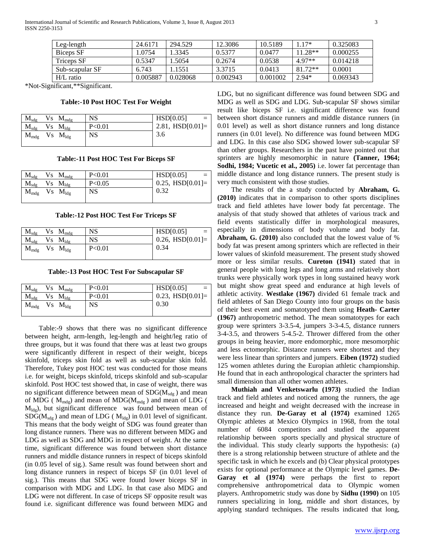International Journal of Scientific and Research Publications, Volume 3, Issue 8, August 2013 3 ISSN 2250-3153

| Leg-length        | 24.6171  | 294.529  | 12.3086  | 10.5189  | $17*$     | 0.325083 |
|-------------------|----------|----------|----------|----------|-----------|----------|
| Biceps SF         | 1.0754   | 1.3345   | 0.5377   | 0.0477   | $11.28**$ | 0.000255 |
| <b>Triceps SF</b> | 0.5347   | 1.5054   | 0.2674   | 0.0538   | 4 97**    | 0.014218 |
| Sub-scapular SF   | 6.743    | 1.1551   | 3.3715   | 0.0413   | $81.72**$ | 0.0001   |
| $H/L$ ratio       | 0.005887 | 0.028068 | 0.002943 | 0.001002 | $2.94*$   | 0.069343 |

\*Not-Significant,\*\*Significant.

#### **Table:-10 Post HOC Test For Weight**

| $M_{sdg}$ | Vs<br>$M_{mdg}$ | <b>NS</b> | HSD[0.05]          |
|-----------|-----------------|-----------|--------------------|
| $M_{sdg}$ | $Vs$ $M_{ldg}$  | P< 0.01   | 2.81, $HSD[0.01]=$ |
| $M_{mdg}$ | $Vs$ $M_{ldg}$  | <b>NS</b> | 3.6                |

#### **Table:-11 Post HOC Test For Biceps SF**

| $M_{\text{sdg}}$<br>$Vs \ M_{mdg}$ | P< 0.01   | HSD[0.05]          |
|------------------------------------|-----------|--------------------|
| $M_{sdg}$<br>$Vs$ $M_{ldg}$        | P < 0.05  | $0.25, HSD[0.01]=$ |
| $M_{mdg}$<br>$Vs$ $M_{ldg}$        | <b>NS</b> | 0.32               |

#### **Table:-12 Post HOC Test For Triceps SF**

| $M_{sdg}$ | Vs.<br>$M_{mdg}$ | <b>NS</b> | HSD[0.05]              |
|-----------|------------------|-----------|------------------------|
| $M_{sdg}$ | $V_s$ $M_{ldg}$  | <b>NS</b> | $0.26$ , HSD $[0.01]=$ |
| $M_{mdg}$ | $Vs$ $M_{ldg}$   | P< 0.01   | 0.34                   |

**Table:-13 Post HOC Test For Subscapular SF**

| $\rm M_{\rm sdg}$ | $Vs$ $M_{mdg}$        | P< 0.01 | HSD[0.05]<br>$=$      |
|-------------------|-----------------------|---------|-----------------------|
| $\rm M_{\rm sdg}$ | $Vs$ $M_{ldg}$        | P<0.01  | $0.23,$ HSD $[0.01]=$ |
| $\rm M_{mdg}$     | $Vs$ $M_{\text{ldg}}$ | NS.     | 0.30                  |
|                   |                       |         |                       |

 Table:-9 shows that there was no significant difference between height, arm-length, leg-length and height/leg ratio of three groups, but it was found that there was at least two groups were significantly different in respect of their weight, biceps skinfold, triceps skin fold as well as sub-scapular skin fold. Therefore, Tukey post HOC test was conducted for those means i.e. for weight, biceps skinfold, triceps skinfold and sub-scapular skinfold. Post HOC test showed that, in case of weight, there was no significant difference between mean of  $SDG(M_{sdg})$  and mean of MDG (  $M_{\text{mdg}}$ ) and mean of MDG( $M_{\text{mdg}}$ ) and mean of LDG (  $M_{\text{ldg}}$ ), but significant difference was found between mean of  $SDG(M_{sdg})$  and mean of LDG ( $M_{ldg}$ ) in 0.01 level of significant. This means that the body weight of SDG was found greater than long distance runners. There was no different between MDG and LDG as well as SDG and MDG in respect of weight. At the same time, significant difference was found between short distance runners and middle distance runners in respect of biceps skinfold (in 0.05 level of sig.). Same result was found between short and long distance runners in respect of biceps SF (in 0.01 level of sig.). This means that SDG were found lower biceps SF in comparison with MDG and LDG. In that case also MDG and LDG were not different. In case of triceps SF opposite result was found i.e. significant difference was found between MDG and

LDG, but no significant difference was found between SDG and MDG as well as SDG and LDG. Sub-scapular SF shows similar result like biceps SF i.e. significant difference was found between short distance runners and middle distance runners (in 0.01 level) as well as short distance runners and long distance runners (in 0.01 level). No difference was found between MDG and LDG. In this case also SDG showed lower sub-scapular SF than other groups. Researchers in the past have pointed out that sprinters are highly mesomorphic in nature **(Tanner, 1964; Sodhi, 1984; Vucetic et al., 2005)** i.e. lower fat percentage than middle distance and long distance runners. The present study is very much consistent with those studies.

 The results of the a study conducted by **Abraham, G. (2010)** indicates that in comparison to other sports disciplines track and field athletes have lower body fat percentage. The analysis of that study showed that athletes of various track and field events statistically differ in morphological measures, especially in dimensions of body volume and body fat. **Abraham, G. (2010)** also concluded that the lowest value of % body fat was present among sprinters which are reflected in their lower values of skinfold measurement. The present study showed more or less similar results. **Cureton (1941)** stated that in general people with long legs and long arms and relatively short trunks were physically work types in long sustained heavy work but might show great speed and endurance at high levels of athletic activity. **Westlake (1967)** divided 61 female track and field athletes of San Diego County into four groups on the basis of their best event and somatotyped them using **Heath- Carter (1967)** anthropometric method. The mean somatotypes for each group were sprinters 3-3.5-4, jumpers 3-3-4.5, distance runners 3-4-3.5, and throwers 5-4.5-2. Thrower differed from the other groups in being heavier, more endomorphic, more mesomorphic and less ectomorphic. Distance runners were shortest and they were less linear than sprinters and jumpers. **Eiben (1972)** studied 125 women athletes during the Europian athletic championship. He found that in each anthropological character the sprinters had small dimension than all other women athletes.

 **Muthiah and Venketswarlu (1973)** studied the Indian track and field athletes and noticed among the runners, the age increased and height and weight decreased with the increase in distance they run. **De-Garay et al (1974)** examined 1265 Olympic athletes at Mexico Olympics in 1968, from the total number of 6084 competitors and studied the apparent relationship between sports specially and physical structure of the individual. This study clearly supports the hypothesis: (a) there is a strong relationship between structure of athlete and the specific task in which he excels and (b) Clear physical prototypes exists for optional performance at the Olympic level games. **De-Garay et al (1974)** were perhaps the first to report comprehensive anthropometrical data to Olympic women players. Anthropometric study was done by **Sidhu (1990)** on 105 runners specializing in long, middle and short distances, by applying standard techniques. The results indicated that long,